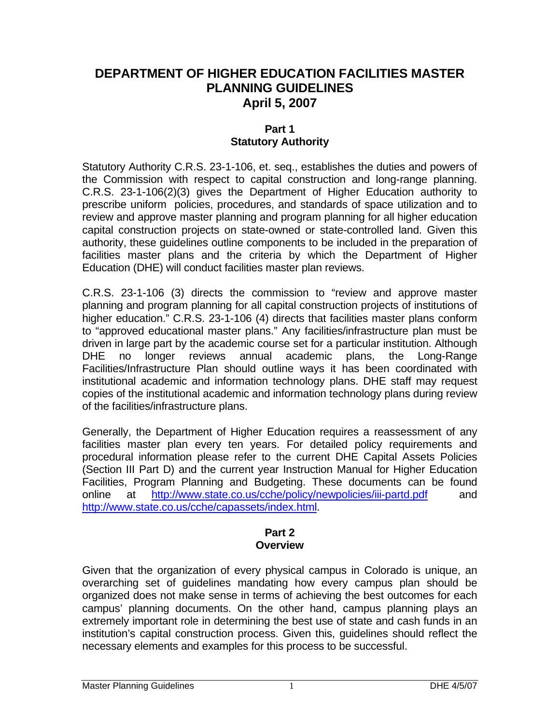# **DEPARTMENT OF HIGHER EDUCATION FACILITIES MASTER PLANNING GUIDELINES April 5, 2007**

#### **Part 1 Statutory Authority**

Statutory Authority C.R.S. 23-1-106, et. seq., establishes the duties and powers of the Commission with respect to capital construction and long-range planning. C.R.S. 23-1-106(2)(3) gives the Department of Higher Education authority to prescribe uniform policies, procedures, and standards of space utilization and to review and approve master planning and program planning for all higher education capital construction projects on state-owned or state-controlled land. Given this authority, these guidelines outline components to be included in the preparation of facilities master plans and the criteria by which the Department of Higher Education (DHE) will conduct facilities master plan reviews.

C.R.S. 23-1-106 (3) directs the commission to "review and approve master planning and program planning for all capital construction projects of institutions of higher education." C.R.S. 23-1-106 (4) directs that facilities master plans conform to "approved educational master plans." Any facilities/infrastructure plan must be driven in large part by the academic course set for a particular institution. Although DHE no longer reviews annual academic plans, the Long-Range Facilities/Infrastructure Plan should outline ways it has been coordinated with institutional academic and information technology plans. DHE staff may request copies of the institutional academic and information technology plans during review of the facilities/infrastructure plans.

Generally, the Department of Higher Education requires a reassessment of any facilities master plan every ten years. For detailed policy requirements and procedural information please refer to the current DHE Capital Assets Policies (Section III Part D) and the current year Instruction Manual for Higher Education Facilities, Program Planning and Budgeting. These documents can be found online at <http://www.state.co.us/cche/policy/newpolicies/iii-partd.pdf>and [http://www.state.co.us/cche/capassets/index.html.](http://www.state.co.us/cche/capassets/index.html)

#### **Part 2 Overview**

Given that the organization of every physical campus in Colorado is unique, an overarching set of guidelines mandating how every campus plan should be organized does not make sense in terms of achieving the best outcomes for each campus' planning documents. On the other hand, campus planning plays an extremely important role in determining the best use of state and cash funds in an institution's capital construction process. Given this, guidelines should reflect the necessary elements and examples for this process to be successful.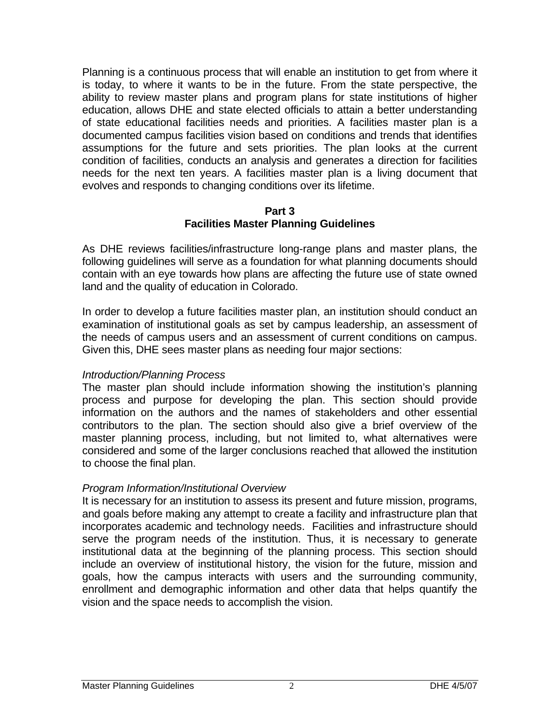Planning is a continuous process that will enable an institution to get from where it is today, to where it wants to be in the future. From the state perspective, the ability to review master plans and program plans for state institutions of higher education, allows DHE and state elected officials to attain a better understanding of state educational facilities needs and priorities. A facilities master plan is a documented campus facilities vision based on conditions and trends that identifies assumptions for the future and sets priorities. The plan looks at the current condition of facilities, conducts an analysis and generates a direction for facilities needs for the next ten years. A facilities master plan is a living document that evolves and responds to changing conditions over its lifetime.

#### **Part 3 Facilities Master Planning Guidelines**

As DHE reviews facilities/infrastructure long-range plans and master plans, the following guidelines will serve as a foundation for what planning documents should contain with an eye towards how plans are affecting the future use of state owned land and the quality of education in Colorado.

In order to develop a future facilities master plan, an institution should conduct an examination of institutional goals as set by campus leadership, an assessment of the needs of campus users and an assessment of current conditions on campus. Given this, DHE sees master plans as needing four major sections:

## *Introduction/Planning Process*

The master plan should include information showing the institution's planning process and purpose for developing the plan. This section should provide information on the authors and the names of stakeholders and other essential contributors to the plan. The section should also give a brief overview of the master planning process, including, but not limited to, what alternatives were considered and some of the larger conclusions reached that allowed the institution to choose the final plan.

## *Program Information/Institutional Overview*

It is necessary for an institution to assess its present and future mission, programs, and goals before making any attempt to create a facility and infrastructure plan that incorporates academic and technology needs. Facilities and infrastructure should serve the program needs of the institution. Thus, it is necessary to generate institutional data at the beginning of the planning process. This section should include an overview of institutional history, the vision for the future, mission and goals, how the campus interacts with users and the surrounding community, enrollment and demographic information and other data that helps quantify the vision and the space needs to accomplish the vision.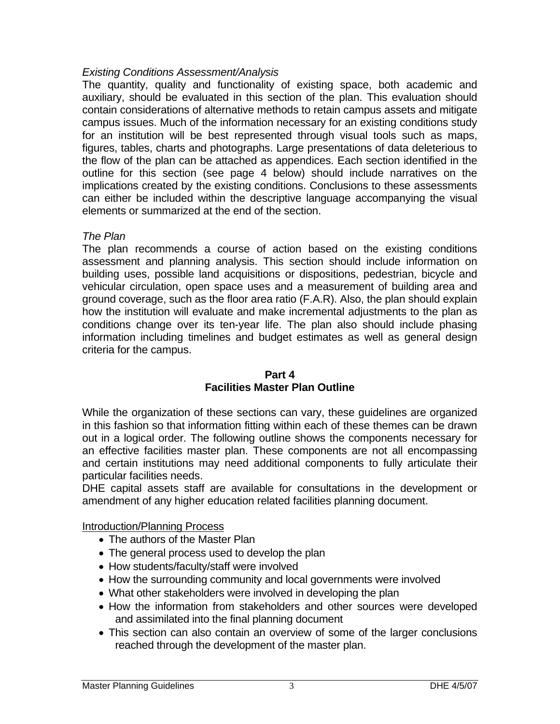## *Existing Conditions Assessment/Analysis*

The quantity, quality and functionality of existing space, both academic and auxiliary, should be evaluated in this section of the plan. This evaluation should contain considerations of alternative methods to retain campus assets and mitigate campus issues. Much of the information necessary for an existing conditions study for an institution will be best represented through visual tools such as maps, figures, tables, charts and photographs. Large presentations of data deleterious to the flow of the plan can be attached as appendices. Each section identified in the outline for this section (see page 4 below) should include narratives on the implications created by the existing conditions. Conclusions to these assessments can either be included within the descriptive language accompanying the visual elements or summarized at the end of the section.

#### *The Plan*

The plan recommends a course of action based on the existing conditions assessment and planning analysis. This section should include information on building uses, possible land acquisitions or dispositions, pedestrian, bicycle and vehicular circulation, open space uses and a measurement of building area and ground coverage, such as the floor area ratio (F.A.R). Also, the plan should explain how the institution will evaluate and make incremental adjustments to the plan as conditions change over its ten-year life. The plan also should include phasing information including timelines and budget estimates as well as general design criteria for the campus.

# **Part 4**

# **Facilities Master Plan Outline**

While the organization of these sections can vary, these guidelines are organized in this fashion so that information fitting within each of these themes can be drawn out in a logical order. The following outline shows the components necessary for an effective facilities master plan. These components are not all encompassing and certain institutions may need additional components to fully articulate their particular facilities needs.

DHE capital assets staff are available for consultations in the development or amendment of any higher education related facilities planning document.

Introduction/Planning Process

- The authors of the Master Plan
- The general process used to develop the plan
- How students/faculty/staff were involved
- How the surrounding community and local governments were involved
- What other stakeholders were involved in developing the plan
- How the information from stakeholders and other sources were developed and assimilated into the final planning document
- This section can also contain an overview of some of the larger conclusions reached through the development of the master plan.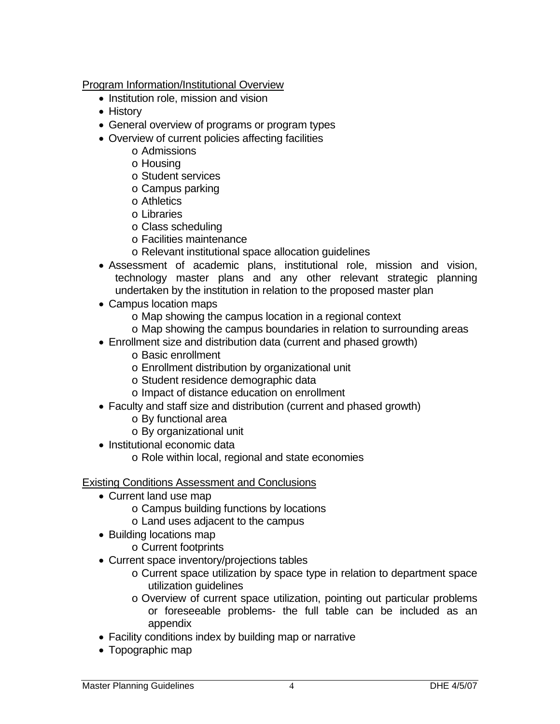Program Information/Institutional Overview

- Institution role, mission and vision
- History
- General overview of programs or program types
- Overview of current policies affecting facilities
	- o Admissions
	- o Housing
	- o Student services
	- o Campus parking
	- o Athletics
	- o Libraries
	- o Class scheduling
	- o Facilities maintenance
	- o Relevant institutional space allocation guidelines
- Assessment of academic plans, institutional role, mission and vision, technology master plans and any other relevant strategic planning undertaken by the institution in relation to the proposed master plan
- Campus location maps
	- o Map showing the campus location in a regional context
	- o Map showing the campus boundaries in relation to surrounding areas
- Enrollment size and distribution data (current and phased growth)
	- o Basic enrollment
	- o Enrollment distribution by organizational unit
	- o Student residence demographic data
	- o Impact of distance education on enrollment
- Faculty and staff size and distribution (current and phased growth)
	- o By functional area
	- o By organizational unit
- Institutional economic data
	- o Role within local, regional and state economies

#### Existing Conditions Assessment and Conclusions

- Current land use map
	- o Campus building functions by locations
	- o Land uses adjacent to the campus
- Building locations map
	- o Current footprints
- Current space inventory/projections tables
	- o Current space utilization by space type in relation to department space utilization guidelines
	- o Overview of current space utilization, pointing out particular problems or foreseeable problems- the full table can be included as an appendix
- Facility conditions index by building map or narrative
- Topographic map